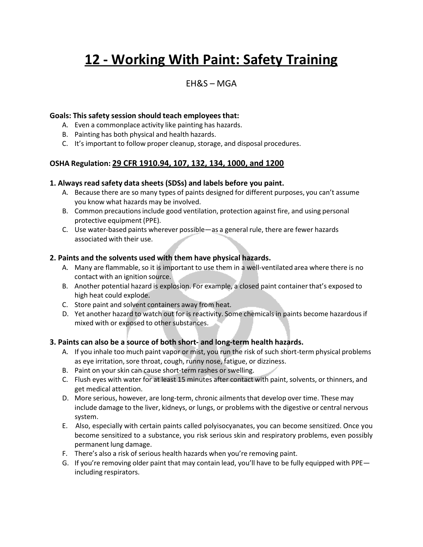# **12 - Working With Paint: Safety Training**

### $FHRS - MGA$

#### **Goals: This safety session should teach employees that:**

- A. Even a commonplace activity like painting has hazards.
- B. Painting has both physical and health hazards.
- C. It's important to follow proper cleanup, storage, and disposal procedures.

#### **OSHA Regulation: 29 CFR 1910.94, 107, 132, 134, 1000, and 1200**

#### **1. Always read safety data sheets (SDSs) and labels before you paint.**

- A. Because there are so many types of paints designed for different purposes, you can't assume you know what hazards may be involved.
- B. Common precautionsinclude good ventilation, protection against fire, and using personal protective equipment (PPE).
- C. Use water-based paints wherever possible—as a general rule, there are fewer hazards associated with their use.

#### **2. Paints and the solvents used with them have physical hazards.**

- A. Many are flammable, so it is important to use them in a well-ventilated area where there is no contact with an ignition source.
- B. Another potential hazard is explosion. For example, a closed paint container that's exposed to high heat could explode.
- C. Store paint and solvent containers away from heat.
- D. Yet another hazard to watch out for is reactivity. Some chemicals in paints become hazardous if mixed with or exposed to other substances.

#### **3. Paints can also be a source of both short- and long-term health hazards.**

- A. If you inhale too much paint vapor or mist, you run the risk of such short-term physical problems as eye irritation, sore throat, cough, runny nose, fatigue, or dizziness.
- B. Paint on your skin can cause short-term rashes or swelling.
- C. Flush eyes with water for at least 15 minutes after contact with paint, solvents, or thinners, and get medical attention.
- D. More serious, however, are long-term, chronic ailments that develop over time. These may include damage to the liver, kidneys, or lungs, or problems with the digestive or central nervous system.
- E. Also, especially with certain paints called polyisocyanates, you can become sensitized. Once you become sensitized to a substance, you risk serious skin and respiratory problems, even possibly permanent lung damage.
- F. There's also a risk of serious health hazards when you're removing paint.
- G. If you're removing older paint that may contain lead, you'll have to be fully equipped with PPE including respirators.